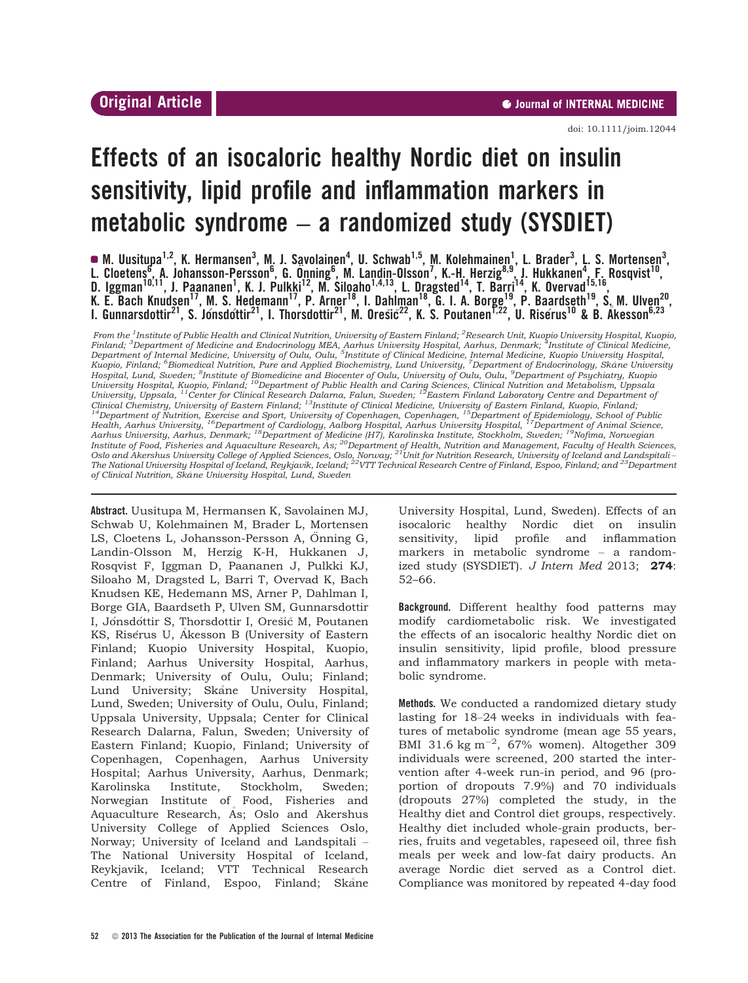# Effects of an isocaloric healthy Nordic diet on insulin sensitivity, lipid profile and inflammation markers in metabolic syndrome – a randomized study (SYSDIET)

• M. Uusitupa<sup>1,2</sup>, K. Hermansen<sup>3</sup>, M. J. Savolainen<sup>4</sup>, U. Schwab<sup>1,5</sup>, M. Kolehmainen<sup>1</sup>, L. Brader<sup>3</sup>, L. S. Mortensen<sup>3</sup>,<br>L. Cloetens<sup>8</sup>, A. Johansson-Persson<sup>6</sup>, G. Onning<sup>6</sup>, M. Landin-Olsson<sup>7</sup>, K.-H. Herzig<sup>8,9</sup>, D. Iggman<sup>10/11</sup>, J. Paananen<sup>1</sup>, K. J. Pulkki<sup>12</sup>, M. Siloaho<sup>1,4,13</sup>, L. Dragsted<sup>14</sup>, T. Barri<sup>14</sup>, K. Overvad<sup>15,16</sup>, K. Ulven<sup>20</sup>, K. E. Bach Knudsen<sup>17</sup>, M. S. Hedemann<sup>17</sup>, P. Arner<sup>18</sup>, I. Dahlman<sup>18</sup>, G. I. A. Bor

From the <sup>1</sup>Institute of Public Health and Clinical Nutrition, University of Eastern Finland; <sup>2</sup>Research Unit, Kuopio University Hospital, Kuopio, Finland; <sup>3</sup>Department of Medicine and Endocrinology MEA, Aarhus Universit Hospital, Lund, Sweden; <sup>8</sup>Institute of Biomedicine and Biocenter of Oulu, University of Oulu, Oulu, <sup>9</sup>Department of Psychiatry, Kuopio<br>University Hospital, Kuopio, Finland; <sup>10</sup>Department of Public Health and Caring Scie of Clinical Nutrition, Skane University Hospital, Lund, Sweden

Abstract. Uusitupa M, Hermansen K, Savolainen MJ, Schwab U, Kolehmainen M, Brader L, Mortensen LS, Cloetens L, Johansson-Persson A, Önning G, Landin-Olsson M, Herzig K-H, Hukkanen J, Rosqvist F, Iggman D, Paananen J, Pulkki KJ, Siloaho M, Dragsted L, Barri T, Overvad K, Bach Knudsen KE, Hedemann MS, Arner P, Dahlman I, Borge GIA, Baardseth P, Ulven SM, Gunnarsdottir I, Jónsdóttir S, Thorsdottir I, Orešič M, Poutanen KS, Risérus U, Åkesson B (University of Eastern Finland; Kuopio University Hospital, Kuopio, Finland; Aarhus University Hospital, Aarhus, Denmark; University of Oulu, Oulu; Finland; Lund University; Skane University Hospital, Lund, Sweden; University of Oulu, Oulu, Finland; Uppsala University, Uppsala; Center for Clinical Research Dalarna, Falun, Sweden; University of Eastern Finland; Kuopio, Finland; University of Copenhagen, Copenhagen, Aarhus University Hospital; Aarhus University, Aarhus, Denmark; Karolinska Institute, Stockholm, Sweden; Norwegian Institute of Food, Fisheries and Aquaculture Research, As; Oslo and Akershus University College of Applied Sciences Oslo, Norway; University of Iceland and Landspitali – The National University Hospital of Iceland, Reykjavik, Iceland; VTT Technical Research Centre of Finland, Espoo, Finland; Skåne

University Hospital, Lund, Sweden). Effects of an isocaloric healthy Nordic diet on insulin sensitivity, lipid profile and inflammation markers in metabolic syndrome – a randomized study (SYSDIET). J Intern Med 2013; 274: 52–66.

Background. Different healthy food patterns may modify cardiometabolic risk. We investigated the effects of an isocaloric healthy Nordic diet on insulin sensitivity, lipid profile, blood pressure and inflammatory markers in people with metabolic syndrome.

Methods. We conducted a randomized dietary study lasting for 18–24 weeks in individuals with features of metabolic syndrome (mean age 55 years, BMI 31.6 kg m<sup>-2</sup>, 67% women). Altogether 309 individuals were screened, 200 started the intervention after 4-week run-in period, and 96 (proportion of dropouts 7.9%) and 70 individuals (dropouts 27%) completed the study, in the Healthy diet and Control diet groups, respectively. Healthy diet included whole-grain products, berries, fruits and vegetables, rapeseed oil, three fish meals per week and low-fat dairy products. An average Nordic diet served as a Control diet. Compliance was monitored by repeated 4-day food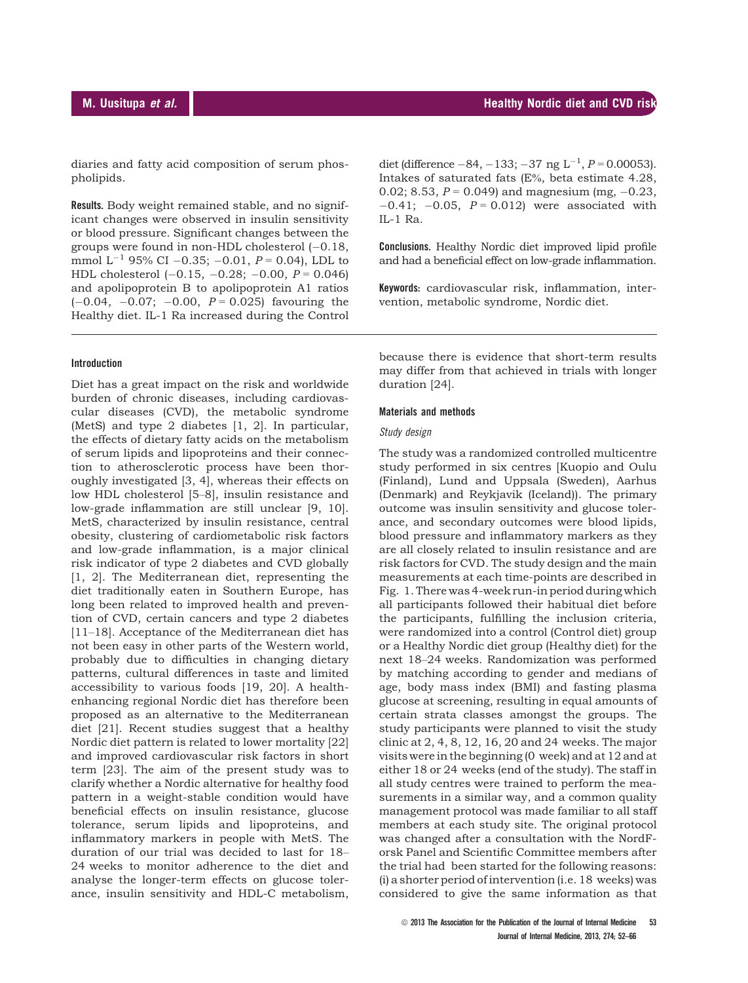diaries and fatty acid composition of serum phospholipids.

Results. Body weight remained stable, and no significant changes were observed in insulin sensitivity or blood pressure. Significant changes between the groups were found in non-HDL cholesterol  $(-0.18,$ mmol  $L^{-1}$  95% CI -0.35; -0.01, P = 0.04), LDL to HDL cholesterol  $(-0.15, -0.28; -0.00, P = 0.046)$ and apolipoprotein B to apolipoprotein A1 ratios  $(-0.04, -0.07; -0.00, P = 0.025)$  favouring the Healthy diet. IL-1 Ra increased during the Control

#### Introduction

Diet has a great impact on the risk and worldwide burden of chronic diseases, including cardiovascular diseases (CVD), the metabolic syndrome (MetS) and type 2 diabetes [1, 2]. In particular, the effects of dietary fatty acids on the metabolism of serum lipids and lipoproteins and their connection to atherosclerotic process have been thoroughly investigated [3, 4], whereas their effects on low HDL cholesterol [5–8], insulin resistance and low-grade inflammation are still unclear [9, 10]. MetS, characterized by insulin resistance, central obesity, clustering of cardiometabolic risk factors and low-grade inflammation, is a major clinical risk indicator of type 2 diabetes and CVD globally [1, 2]. The Mediterranean diet, representing the diet traditionally eaten in Southern Europe, has long been related to improved health and prevention of CVD, certain cancers and type 2 diabetes [11–18]. Acceptance of the Mediterranean diet has not been easy in other parts of the Western world, probably due to difficulties in changing dietary patterns, cultural differences in taste and limited accessibility to various foods [19, 20]. A healthenhancing regional Nordic diet has therefore been proposed as an alternative to the Mediterranean diet [21]. Recent studies suggest that a healthy Nordic diet pattern is related to lower mortality [22] and improved cardiovascular risk factors in short term [23]. The aim of the present study was to clarify whether a Nordic alternative for healthy food pattern in a weight-stable condition would have beneficial effects on insulin resistance, glucose tolerance, serum lipids and lipoproteins, and inflammatory markers in people with MetS. The duration of our trial was decided to last for 18– 24 weeks to monitor adherence to the diet and analyse the longer-term effects on glucose tolerance, insulin sensitivity and HDL-C metabolism,

M. Uusitupa et al. Healthy Nordic diet and CVD risk

diet (difference  $-84$ ,  $-133$ ;  $-37$  ng L<sup>-1</sup>, P = 0.00053). Intakes of saturated fats (E%, beta estimate 4.28, 0.02; 8.53,  $P = 0.049$  and magnesium (mg,  $-0.23$ ,  $-0.41$ ;  $-0.05$ ,  $P = 0.012$ ) were associated with IL-1 Ra.

Conclusions. Healthy Nordic diet improved lipid profile and had a beneficial effect on low-grade inflammation.

Keywords: cardiovascular risk, inflammation, intervention, metabolic syndrome, Nordic diet.

because there is evidence that short-term results may differ from that achieved in trials with longer duration [24].

#### Materials and methods

#### Study design

The study was a randomized controlled multicentre study performed in six centres [Kuopio and Oulu (Finland), Lund and Uppsala (Sweden), Aarhus (Denmark) and Reykjavik (Iceland)). The primary outcome was insulin sensitivity and glucose tolerance, and secondary outcomes were blood lipids, blood pressure and inflammatory markers as they are all closely related to insulin resistance and are risk factors for CVD. The study design and the main measurements at each time-points are described in Fig. 1. There was 4-week run-in period during which all participants followed their habitual diet before the participants, fulfilling the inclusion criteria, were randomized into a control (Control diet) group or a Healthy Nordic diet group (Healthy diet) for the next 18–24 weeks. Randomization was performed by matching according to gender and medians of age, body mass index (BMI) and fasting plasma glucose at screening, resulting in equal amounts of certain strata classes amongst the groups. The study participants were planned to visit the study clinic at 2, 4, 8, 12, 16, 20 and 24 weeks. The major visits were in the beginning (0 week) and at 12 and at either 18 or 24 weeks (end of the study). The staff in all study centres were trained to perform the measurements in a similar way, and a common quality management protocol was made familiar to all staff members at each study site. The original protocol was changed after a consultation with the NordForsk Panel and Scientific Committee members after the trial had been started for the following reasons: (i) a shorter period of intervention (i.e. 18 weeks) was considered to give the same information as that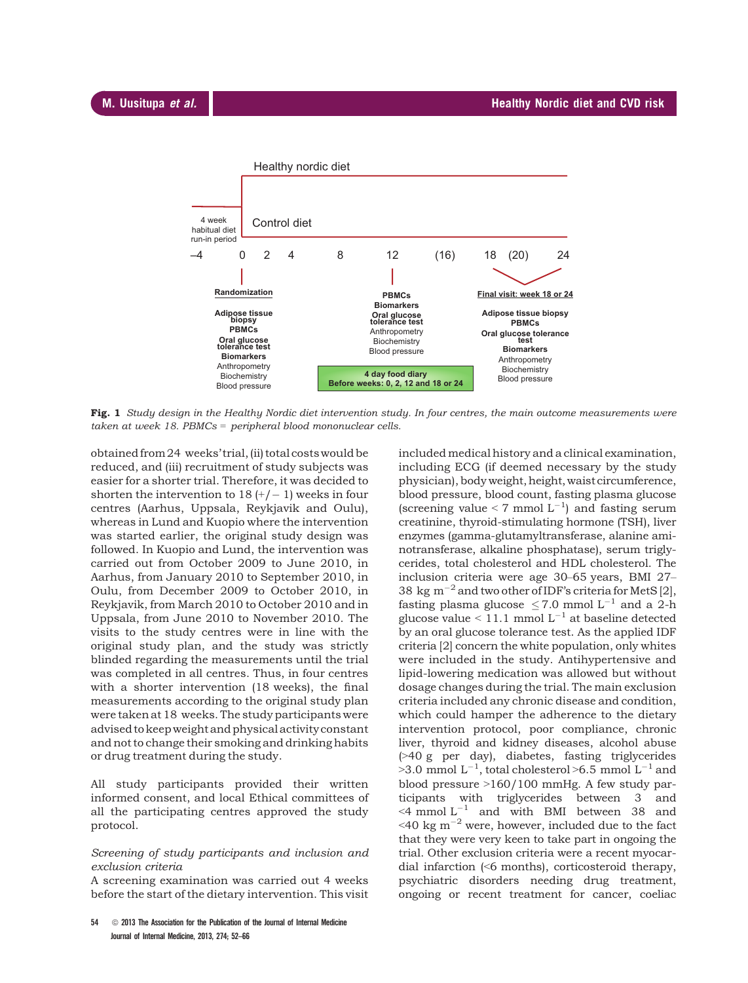

Fig. 1 Study design in the Healthy Nordic diet intervention study. In four centres, the main outcome measurements were taken at week 18. PBMCs = peripheral blood mononuclear cells.

obtained from 24 weeks' trial, (ii) total costswould be reduced, and (iii) recruitment of study subjects was easier for a shorter trial. Therefore, it was decided to shorten the intervention to  $18 (+/- 1)$  weeks in four centres (Aarhus, Uppsala, Reykjavik and Oulu), whereas in Lund and Kuopio where the intervention was started earlier, the original study design was followed. In Kuopio and Lund, the intervention was carried out from October 2009 to June 2010, in Aarhus, from January 2010 to September 2010, in Oulu, from December 2009 to October 2010, in Reykjavik, from March 2010 to October 2010 and in Uppsala, from June 2010 to November 2010. The visits to the study centres were in line with the original study plan, and the study was strictly blinded regarding the measurements until the trial was completed in all centres. Thus, in four centres with a shorter intervention (18 weeks), the final measurements according to the original study plan were taken at 18 weeks. The study participants were advised to keepweight andphysical activity constant and not to change their smoking and drinking habits or drug treatment during the study.

All study participants provided their written informed consent, and local Ethical committees of all the participating centres approved the study protocol.

# Screening of study participants and inclusion and exclusion criteria

A screening examination was carried out 4 weeks before the start of the dietary intervention. This visit included medical history and a clinical examination, including ECG (if deemed necessary by the study physician), body weight, height, waist circumference, blood pressure, blood count, fasting plasma glucose (screening value < 7 mmol  $L^{-1}$ ) and fasting serum creatinine, thyroid-stimulating hormone (TSH), liver enzymes (gamma-glutamyltransferase, alanine aminotransferase, alkaline phosphatase), serum triglycerides, total cholesterol and HDL cholesterol. The inclusion criteria were age 30–65 years, BMI 27– 38 kg m<sup>-2</sup> and two other of IDF's criteria for MetS [2], fasting plasma glucose  $\leq 7.0$  mmol L<sup>-1</sup> and a 2-h glucose value < 11.1 mmol  $L^{-1}$  at baseline detected by an oral glucose tolerance test. As the applied IDF criteria [2] concern the white population, only whites were included in the study. Antihypertensive and lipid-lowering medication was allowed but without dosage changes during the trial. The main exclusion criteria included any chronic disease and condition, which could hamper the adherence to the dietary intervention protocol, poor compliance, chronic liver, thyroid and kidney diseases, alcohol abuse (>40 g per day), diabetes, fasting triglycerides >3.0 mmol  $L^{-1}$ , total cholesterol >6.5 mmol  $L^{-1}$  and blood pressure >160/100 mmHg. A few study participants with triglycerides between 3 and  $\leq$ 4 mmol L<sup>-1</sup> and with BMI between 38 and  $\leq$ 40 kg m<sup>-2</sup> were, however, included due to the fact that they were very keen to take part in ongoing the trial. Other exclusion criteria were a recent myocardial infarction (<6 months), corticosteroid therapy, psychiatric disorders needing drug treatment, ongoing or recent treatment for cancer, coeliac

<sup>54</sup>  $\circ$  2013 The Association for the Publication of the Journal of Internal Medicine Journal of Internal Medicine, 2013, 274; 52–66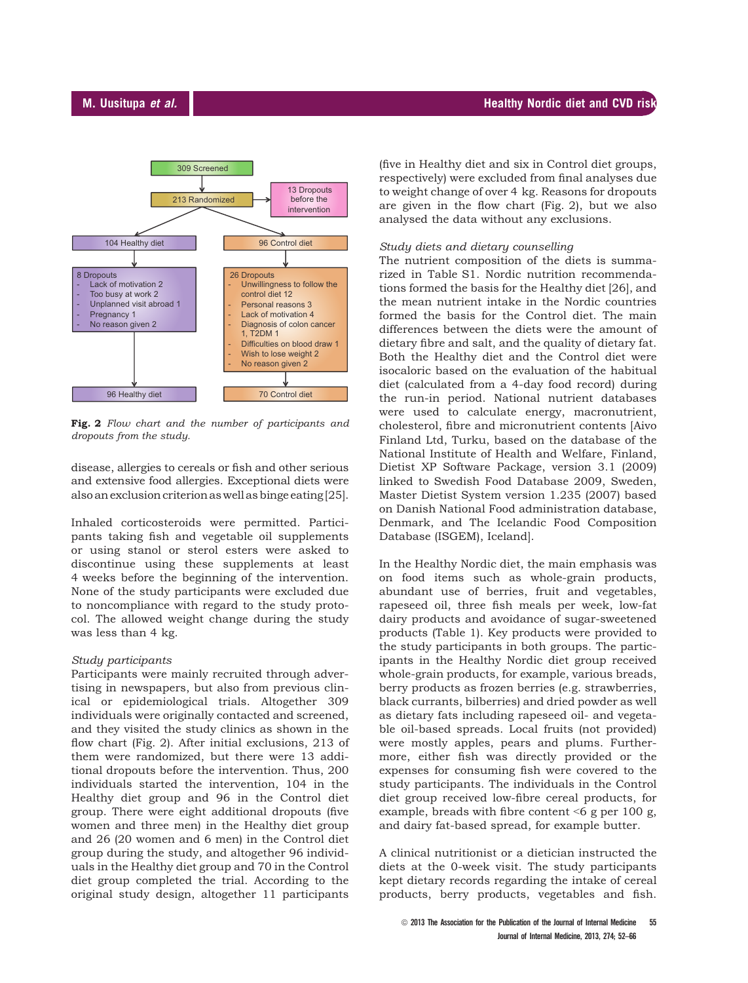

Fig. 2 Flow chart and the number of participants and dropouts from the study.

disease, allergies to cereals or fish and other serious and extensive food allergies. Exceptional diets were also an exclusion criterion aswell as binge eating [25].

Inhaled corticosteroids were permitted. Participants taking fish and vegetable oil supplements or using stanol or sterol esters were asked to discontinue using these supplements at least 4 weeks before the beginning of the intervention. None of the study participants were excluded due to noncompliance with regard to the study protocol. The allowed weight change during the study was less than 4 kg.

#### Study participants

Participants were mainly recruited through advertising in newspapers, but also from previous clinical or epidemiological trials. Altogether 309 individuals were originally contacted and screened, and they visited the study clinics as shown in the flow chart (Fig. 2). After initial exclusions, 213 of them were randomized, but there were 13 additional dropouts before the intervention. Thus, 200 individuals started the intervention, 104 in the Healthy diet group and 96 in the Control diet group. There were eight additional dropouts (five women and three men) in the Healthy diet group and 26 (20 women and 6 men) in the Control diet group during the study, and altogether 96 individuals in the Healthy diet group and 70 in the Control diet group completed the trial. According to the original study design, altogether 11 participants

(five in Healthy diet and six in Control diet groups, respectively) were excluded from final analyses due to weight change of over 4 kg. Reasons for dropouts are given in the flow chart (Fig. 2), but we also analysed the data without any exclusions.

## Study diets and dietary counselling

The nutrient composition of the diets is summarized in Table S1. Nordic nutrition recommendations formed the basis for the Healthy diet [26], and the mean nutrient intake in the Nordic countries formed the basis for the Control diet. The main differences between the diets were the amount of dietary fibre and salt, and the quality of dietary fat. Both the Healthy diet and the Control diet were isocaloric based on the evaluation of the habitual diet (calculated from a 4-day food record) during the run-in period. National nutrient databases were used to calculate energy, macronutrient, cholesterol, fibre and micronutrient contents [Aivo Finland Ltd, Turku, based on the database of the National Institute of Health and Welfare, Finland, Dietist XP Software Package, version 3.1 (2009) linked to Swedish Food Database 2009, Sweden, Master Dietist System version 1.235 (2007) based on Danish National Food administration database, Denmark, and The Icelandic Food Composition Database (ISGEM), Iceland].

In the Healthy Nordic diet, the main emphasis was on food items such as whole-grain products, abundant use of berries, fruit and vegetables, rapeseed oil, three fish meals per week, low-fat dairy products and avoidance of sugar-sweetened products (Table 1). Key products were provided to the study participants in both groups. The participants in the Healthy Nordic diet group received whole-grain products, for example, various breads, berry products as frozen berries (e.g. strawberries, black currants, bilberries) and dried powder as well as dietary fats including rapeseed oil- and vegetable oil-based spreads. Local fruits (not provided) were mostly apples, pears and plums. Furthermore, either fish was directly provided or the expenses for consuming fish were covered to the study participants. The individuals in the Control diet group received low-fibre cereal products, for example, breads with fibre content <6 g per 100 g, and dairy fat-based spread, for example butter.

A clinical nutritionist or a dietician instructed the diets at the 0-week visit. The study participants kept dietary records regarding the intake of cereal products, berry products, vegetables and fish.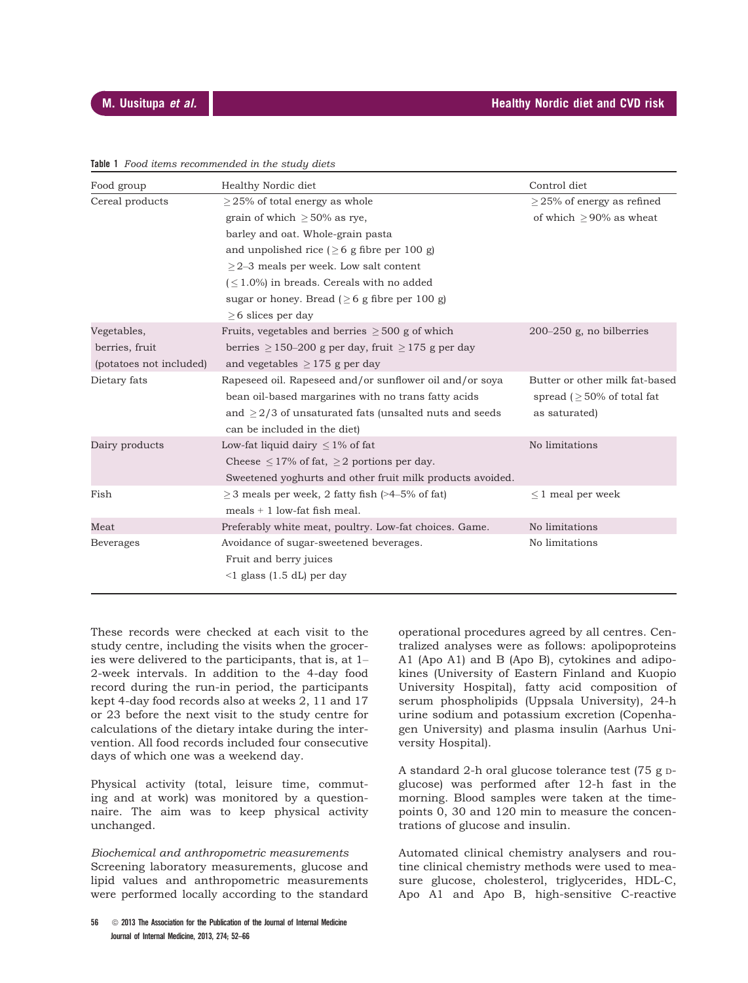| Food group              | Healthy Nordic diet                                       | Control diet                     |
|-------------------------|-----------------------------------------------------------|----------------------------------|
| Cereal products         | $>$ 25% of total energy as whole                          | $>$ 25% of energy as refined     |
|                         | grain of which $\geq$ 50% as rye,                         | of which $>90\%$ as wheat        |
|                         | barley and oat. Whole-grain pasta                         |                                  |
|                         | and unpolished rice ( $\geq 6$ g fibre per 100 g)         |                                  |
|                         | $>2-3$ meals per week. Low salt content                   |                                  |
|                         | $( \leq 1.0\%)$ in breads. Cereals with no added          |                                  |
|                         | sugar or honey. Bread ( $\geq 6$ g fibre per 100 g)       |                                  |
|                         | $>6$ slices per day                                       |                                  |
| Vegetables,             | Fruits, vegetables and berries $> 500$ g of which         | $200-250$ g, no bilberries       |
| berries, fruit          | berries $>$ 150–200 g per day, fruit $>$ 175 g per day    |                                  |
| (potatoes not included) | and vegetables $\geq$ 175 g per day                       |                                  |
| Dietary fats            | Rapeseed oil. Rapeseed and/or sunflower oil and/or soya   | Butter or other milk fat-based   |
|                         | bean oil-based margarines with no trans fatty acids       | spread ( $\geq$ 50% of total fat |
|                         | and $>2/3$ of unsaturated fats (unsalted nuts and seeds   | as saturated)                    |
|                         | can be included in the diet)                              |                                  |
| Dairy products          | Low-fat liquid dairy $\leq 1\%$ of fat                    | No limitations                   |
|                         | Cheese $\leq$ 17% of fat, $\geq$ 2 portions per day.      |                                  |
|                         | Sweetened yoghurts and other fruit milk products avoided. |                                  |
| Fish                    | $>$ 3 meals per week, 2 fatty fish $\geq$ 4–5% of fat)    | $\leq$ 1 meal per week           |
|                         | meals $+1$ low-fat fish meal.                             |                                  |
| Meat                    | Preferably white meat, poultry. Low-fat choices. Game.    | No limitations                   |
| <b>Beverages</b>        | Avoidance of sugar-sweetened beverages.                   | No limitations                   |
|                         | Fruit and berry juices                                    |                                  |
|                         | $\leq$ 1 glass (1.5 dL) per day                           |                                  |
|                         |                                                           |                                  |

Table 1 Food items recommended in the study diets

These records were checked at each visit to the study centre, including the visits when the groceries were delivered to the participants, that is, at 1– 2-week intervals. In addition to the 4-day food record during the run-in period, the participants kept 4-day food records also at weeks 2, 11 and 17 or 23 before the next visit to the study centre for calculations of the dietary intake during the intervention. All food records included four consecutive days of which one was a weekend day.

Physical activity (total, leisure time, commuting and at work) was monitored by a questionnaire. The aim was to keep physical activity unchanged.

Biochemical and anthropometric measurements Screening laboratory measurements, glucose and lipid values and anthropometric measurements were performed locally according to the standard operational procedures agreed by all centres. Centralized analyses were as follows: apolipoproteins A1 (Apo A1) and B (Apo B), cytokines and adipokines (University of Eastern Finland and Kuopio University Hospital), fatty acid composition of serum phospholipids (Uppsala University), 24-h urine sodium and potassium excretion (Copenhagen University) and plasma insulin (Aarhus University Hospital).

A standard 2-h oral glucose tolerance test (75 g Dglucose) was performed after 12-h fast in the morning. Blood samples were taken at the timepoints 0, 30 and 120 min to measure the concentrations of glucose and insulin.

Automated clinical chemistry analysers and routine clinical chemistry methods were used to measure glucose, cholesterol, triglycerides, HDL-C, Apo A1 and Apo B, high-sensitive C-reactive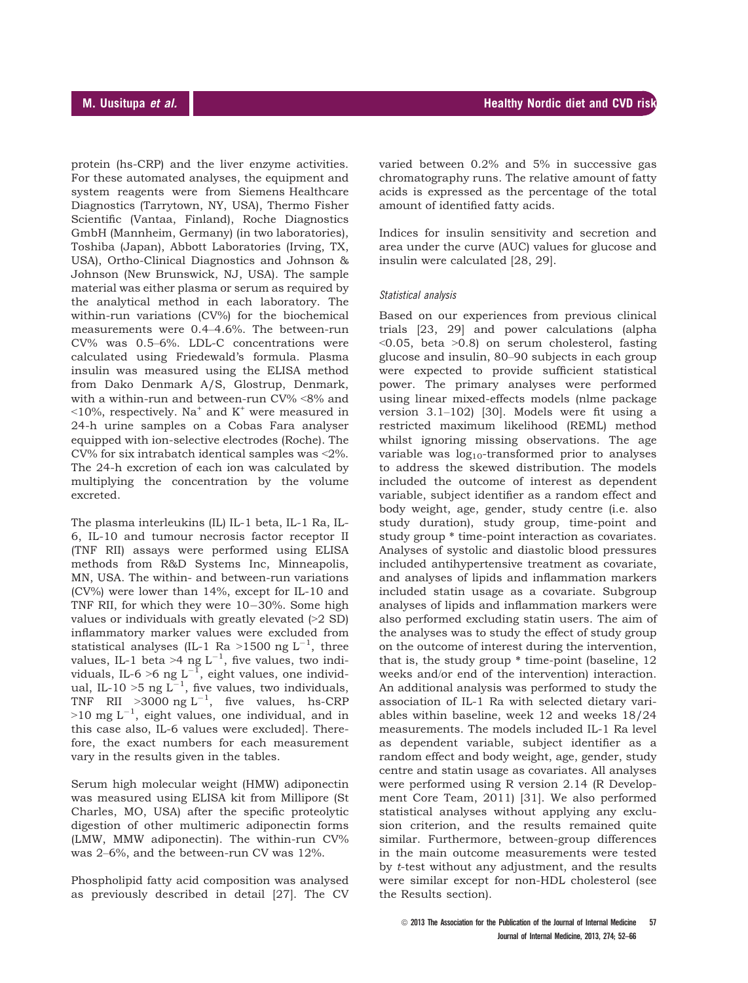protein (hs-CRP) and the liver enzyme activities. For these automated analyses, the equipment and system reagents were from Siemens Healthcare Diagnostics (Tarrytown, NY, USA), Thermo Fisher Scientific (Vantaa, Finland), Roche Diagnostics GmbH (Mannheim, Germany) (in two laboratories), Toshiba (Japan), Abbott Laboratories (Irving, TX, USA), Ortho-Clinical Diagnostics and Johnson & Johnson (New Brunswick, NJ, USA). The sample material was either plasma or serum as required by the analytical method in each laboratory. The within-run variations (CV%) for the biochemical measurements were 0.4–4.6%. The between-run CV% was 0.5–6%. LDL-C concentrations were calculated using Friedewald's formula. Plasma insulin was measured using the ELISA method from Dako Denmark A/S, Glostrup, Denmark, with a within-run and between-run CV% <8% and  $\leq 10\%$ , respectively. Na<sup>+</sup> and K<sup>+</sup> were measured in 24-h urine samples on a Cobas Fara analyser equipped with ion-selective electrodes (Roche). The CV% for six intrabatch identical samples was <2%. The 24-h excretion of each ion was calculated by multiplying the concentration by the volume excreted.

The plasma interleukins (IL) IL-1 beta, IL-1 Ra, IL-6, IL-10 and tumour necrosis factor receptor II (TNF RII) assays were performed using ELISA methods from R&D Systems Inc, Minneapolis, MN, USA. The within- and between-run variations (CV%) were lower than 14%, except for IL-10 and TNF RII, for which they were 10-30%. Some high values or individuals with greatly elevated (>2 SD) inflammatory marker values were excluded from statistical analyses (IL-1 Ra >1500 ng  $\mathrm{L}^{-1},\,$  three values, IL-1 beta >4 ng L $^{-1}$ , five values, two individuals, IL-6 >6 ng L $^{-1}$ , eight values, one individual, IL-10  $>5$  ng L<sup>-1</sup>, five values, two individuals, TNF RII  $>3000$  ng L<sup>-1</sup>, five values, hs-CRP  $>$ 10 mg L $^{-1}$ , eight values, one individual, and in this case also, IL-6 values were excluded]. Therefore, the exact numbers for each measurement vary in the results given in the tables.

Serum high molecular weight (HMW) adiponectin was measured using ELISA kit from Millipore (St Charles, MO, USA) after the specific proteolytic digestion of other multimeric adiponectin forms (LMW, MMW adiponectin). The within-run CV% was 2–6%, and the between-run CV was 12%.

Phospholipid fatty acid composition was analysed as previously described in detail [27]. The CV varied between 0.2% and 5% in successive gas chromatography runs. The relative amount of fatty acids is expressed as the percentage of the total amount of identified fatty acids.

Indices for insulin sensitivity and secretion and area under the curve (AUC) values for glucose and insulin were calculated [28, 29].

# Statistical analysis

Based on our experiences from previous clinical trials [23, 29] and power calculations (alpha  $\leq 0.05$ , beta  $\geq 0.8$ ) on serum cholesterol, fasting glucose and insulin, 80–90 subjects in each group were expected to provide sufficient statistical power. The primary analyses were performed using linear mixed-effects models (nlme package version 3.1–102) [30]. Models were fit using a restricted maximum likelihood (REML) method whilst ignoring missing observations. The age variable was  $log_{10}$ -transformed prior to analyses to address the skewed distribution. The models included the outcome of interest as dependent variable, subject identifier as a random effect and body weight, age, gender, study centre (i.e. also study duration), study group, time-point and study group \* time-point interaction as covariates. Analyses of systolic and diastolic blood pressures included antihypertensive treatment as covariate, and analyses of lipids and inflammation markers included statin usage as a covariate. Subgroup analyses of lipids and inflammation markers were also performed excluding statin users. The aim of the analyses was to study the effect of study group on the outcome of interest during the intervention, that is, the study group \* time-point (baseline, 12 weeks and/or end of the intervention) interaction. An additional analysis was performed to study the association of IL-1 Ra with selected dietary variables within baseline, week 12 and weeks 18/24 measurements. The models included IL-1 Ra level as dependent variable, subject identifier as a random effect and body weight, age, gender, study centre and statin usage as covariates. All analyses were performed using R version 2.14 (R Development Core Team, 2011) [31]. We also performed statistical analyses without applying any exclusion criterion, and the results remained quite similar. Furthermore, between-group differences in the main outcome measurements were tested by t-test without any adjustment, and the results were similar except for non-HDL cholesterol (see the Results section).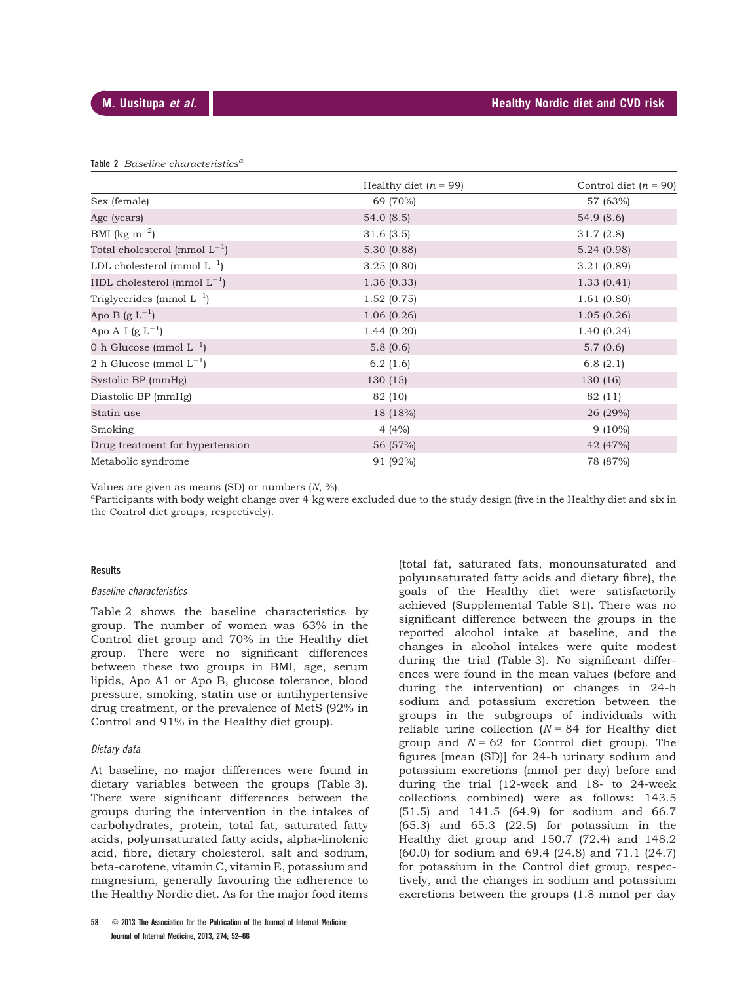|                                       | Healthy diet $(n = 99)$ | Control diet ( $n = 90$ ) |
|---------------------------------------|-------------------------|---------------------------|
| Sex (female)                          | 69 (70%)                | 57 (63%)                  |
| Age (years)                           | 54.0 (8.5)              | 54.9(8.6)                 |
| BMI (kg $m^{-2}$ )                    | 31.6(3.5)               | 31.7(2.8)                 |
| Total cholesterol (mmol $\rm L^{-1})$ | 5.30(0.88)              | 5.24(0.98)                |
| LDL cholesterol (mmol $L^{-1}$ )      | 3.25(0.80)              | 3.21(0.89)                |
| $HDL$ cholesterol (mmol $L^{-1}$ )    | 1.36(0.33)              | 1.33(0.41)                |
| Triglycerides (mmol $L^{-1}$ )        | 1.52(0.75)              | 1.61(0.80)                |
| Apo B (g $L^{-1}$ )                   | 1.06(0.26)              | 1.05(0.26)                |
| Apo A–I (g $L^{-1}$ )                 | 1.44(0.20)              | 1.40(0.24)                |
| 0 h Glucose (mmol $L^{-1}$ )          | 5.8(0.6)                | 5.7(0.6)                  |
| 2 h Glucose (mmol $L^{-1}$ )          | 6.2(1.6)                | 6.8(2.1)                  |
| Systolic BP (mmHg)                    | 130(15)                 | 130 (16)                  |
| Diastolic BP (mmHg)                   | 82 (10)                 | 82 (11)                   |
| Statin use                            | 18 (18%)                | 26 (29%)                  |
| Smoking                               | 4 $(4\%)$               | $9(10\%)$                 |
| Drug treatment for hypertension       | 56 (57%)                | 42 (47%)                  |
| Metabolic syndrome                    | 91 (92%)                | 78 (87%)                  |

#### Table 2 Baseline characteristics<sup> $a$ </sup>

Values are given as means (SD) or numbers  $(N, %).$ 

<sup>a</sup>Participants with body weight change over 4 kg were excluded due to the study design (five in the Healthy diet and six in the Control diet groups, respectively).

#### Results

#### Baseline characteristics

Table 2 shows the baseline characteristics by group. The number of women was 63% in the Control diet group and 70% in the Healthy diet group. There were no significant differences between these two groups in BMI, age, serum lipids, Apo A1 or Apo B, glucose tolerance, blood pressure, smoking, statin use or antihypertensive drug treatment, or the prevalence of MetS (92% in Control and 91% in the Healthy diet group).

#### Dietary data

At baseline, no major differences were found in dietary variables between the groups (Table 3). There were significant differences between the groups during the intervention in the intakes of carbohydrates, protein, total fat, saturated fatty acids, polyunsaturated fatty acids, alpha-linolenic acid, fibre, dietary cholesterol, salt and sodium, beta-carotene, vitamin C, vitamin E, potassium and magnesium, generally favouring the adherence to the Healthy Nordic diet. As for the major food items

(total fat, saturated fats, monounsaturated and polyunsaturated fatty acids and dietary fibre), the goals of the Healthy diet were satisfactorily achieved (Supplemental Table S1). There was no significant difference between the groups in the reported alcohol intake at baseline, and the changes in alcohol intakes were quite modest during the trial (Table 3). No significant differences were found in the mean values (before and during the intervention) or changes in 24-h sodium and potassium excretion between the groups in the subgroups of individuals with reliable urine collection  $(N = 84$  for Healthy diet group and  $N = 62$  for Control diet group). The figures [mean (SD)] for 24-h urinary sodium and potassium excretions (mmol per day) before and during the trial (12-week and 18- to 24-week collections combined) were as follows: 143.5 (51.5) and 141.5 (64.9) for sodium and 66.7 (65.3) and 65.3 (22.5) for potassium in the Healthy diet group and 150.7 (72.4) and 148.2 (60.0) for sodium and 69.4 (24.8) and 71.1 (24.7) for potassium in the Control diet group, respectively, and the changes in sodium and potassium excretions between the groups (1.8 mmol per day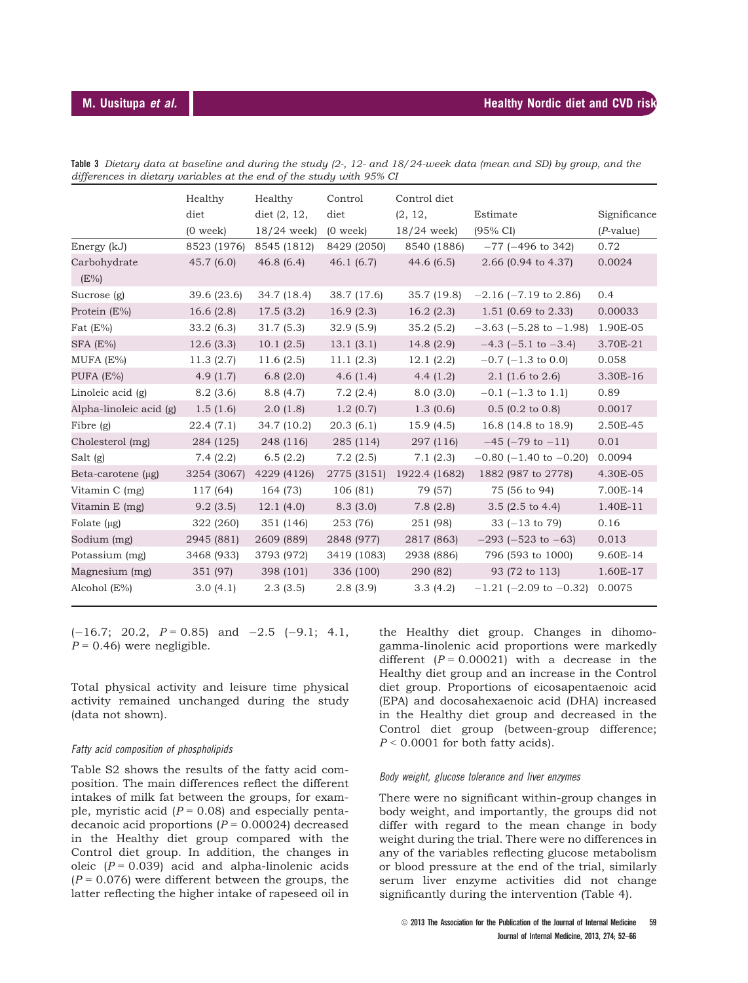|                         | Healthy       | Healthy       | Control       | Control diet  |                                |              |
|-------------------------|---------------|---------------|---------------|---------------|--------------------------------|--------------|
|                         | diet          | $\det(2, 12,$ | diet          | (2, 12,       | Estimate                       | Significance |
|                         | $(0$ week $)$ | $18/24$ week) | $(0$ week $)$ | $18/24$ week) | $(95\% \text{ CI})$            | $(P$ -value) |
| Energy (kJ)             | 8523 (1976)   | 8545 (1812)   | 8429 (2050)   | 8540 (1886)   | $-77$ ( $-496$ to 342)         | 0.72         |
| Carbohydrate<br>$(E\%)$ | 45.7(6.0)     | 46.8(6.4)     | 46.1(6.7)     | 44.6(6.5)     | 2.66 (0.94 to 4.37)            | 0.0024       |
| Sucrose (g)             | 39.6 (23.6)   | 34.7 (18.4)   | 38.7 (17.6)   | 35.7 (19.8)   | $-2.16$ ( $-7.19$ to 2.86)     | 0.4          |
| Protein (E%)            | 16.6(2.8)     | 17.5(3.2)     | 16.9(2.3)     | 16.2(2.3)     | 1.51 $(0.69 \text{ to } 2.33)$ | 0.00033      |
| Fat $(E%)$              | 33.2(6.3)     | 31.7(5.3)     | 32.9(5.9)     | 35.2(5.2)     | $-3.63$ ( $-5.28$ to $-1.98$ ) | 1.90E-05     |
| SFA (E%)                | 12.6(3.3)     | 10.1(2.5)     | 13.1(3.1)     | 14.8(2.9)     | $-4.3$ ( $-5.1$ to $-3.4$ )    | 3.70E-21     |
| MUFA (E%)               | 11.3(2.7)     | 11.6(2.5)     | 11.1(2.3)     | 12.1(2.2)     | $-0.7$ ( $-1.3$ to 0.0)        | 0.058        |
| PUFA (E%)               | 4.9(1.7)      | 6.8(2.0)      | 4.6(1.4)      | 4.4(1.2)      | $2.1$ (1.6 to 2.6)             | 3.30E-16     |
| Linoleic $acid(g)$      | 8.2(3.6)      | 8.8(4.7)      | 7.2(2.4)      | 8.0(3.0)      | $-0.1$ ( $-1.3$ to 1.1)        | 0.89         |
| Alpha-linoleic acid (g) | 1.5(1.6)      | 2.0(1.8)      | 1.2(0.7)      | 1.3(0.6)      | $0.5$ (0.2 to 0.8)             | 0.0017       |
| Fibre (g)               | 22.4(7.1)     | 34.7 (10.2)   | 20.3(6.1)     | 15.9(4.5)     | 16.8 (14.8 to 18.9)            | 2.50E-45     |
| Cholesterol (mg)        | 284 (125)     | 248 (116)     | 285 (114)     | 297 (116)     | $-45$ ( $-79$ to $-11$ )       | 0.01         |
| Salt $(g)$              | 7.4(2.2)      | 6.5(2.2)      | 7.2(2.5)      | 7.1(2.3)      | $-0.80$ ( $-1.40$ to $-0.20$ ) | 0.0094       |
| Beta-carotene (µg)      | 3254 (3067)   | 4229 (4126)   | 2775 (3151)   | 1922.4 (1682) | 1882 (987 to 2778)             | 4.30E-05     |
| Vitamin C (mg)          | 117 (64)      | 164 (73)      | 106 (81)      | 79 (57)       | 75 (56 to 94)                  | 7.00E-14     |
| Vitamin E (mg)          | 9.2(3.5)      | 12.1(4.0)     | 8.3(3.0)      | 7.8(2.8)      | $3.5$ (2.5 to 4.4)             | 1.40E-11     |
| Folate $(\mu g)$        | 322 (260)     | 351 (146)     | 253 (76)      | 251 (98)      | 33 $(-13 \text{ to } 79)$      | 0.16         |
| Sodium (mg)             | 2945 (881)    | 2609 (889)    | 2848 (977)    | 2817 (863)    | $-293$ ( $-523$ to $-63$ )     | 0.013        |
| Potassium (mg)          | 3468 (933)    | 3793 (972)    | 3419 (1083)   | 2938 (886)    | 796 (593 to 1000)              | 9.60E-14     |
| Magnesium (mg)          | 351 (97)      | 398 (101)     | 336 (100)     | 290 (82)      | 93 (72 to 113)                 | 1.60E-17     |
| Alcohol $(E%)$          | 3.0(4.1)      | 2.3(3.5)      | 2.8(3.9)      | 3.3(4.2)      | $-1.21$ (-2.09 to -0.32)       | 0.0075       |

Table 3 Dietary data at baseline and during the study (2-, 12- and 18/24-week data (mean and SD) by group, and the differences in dietary variables at the end of the study with 95% CI

 $(-16.7; 20.2, P = 0.85)$  and  $-2.5$   $(-9.1; 4.1,$  $P = 0.46$ ) were negligible.

Total physical activity and leisure time physical activity remained unchanged during the study (data not shown).

### Fatty acid composition of phospholipids

Table S2 shows the results of the fatty acid composition. The main differences reflect the different intakes of milk fat between the groups, for example, myristic acid  $(P = 0.08)$  and especially pentadecanoic acid proportions  $(P = 0.00024)$  decreased in the Healthy diet group compared with the Control diet group. In addition, the changes in oleic  $(P = 0.039)$  acid and alpha-linolenic acids  $(P = 0.076)$  were different between the groups, the latter reflecting the higher intake of rapeseed oil in

the Healthy diet group. Changes in dihomogamma-linolenic acid proportions were markedly different  $(P = 0.00021)$  with a decrease in the Healthy diet group and an increase in the Control diet group. Proportions of eicosapentaenoic acid (EPA) and docosahexaenoic acid (DHA) increased in the Healthy diet group and decreased in the Control diet group (between-group difference;  $P < 0.0001$  for both fatty acids).

### Body weight, glucose tolerance and liver enzymes

There were no significant within-group changes in body weight, and importantly, the groups did not differ with regard to the mean change in body weight during the trial. There were no differences in any of the variables reflecting glucose metabolism or blood pressure at the end of the trial, similarly serum liver enzyme activities did not change significantly during the intervention (Table 4).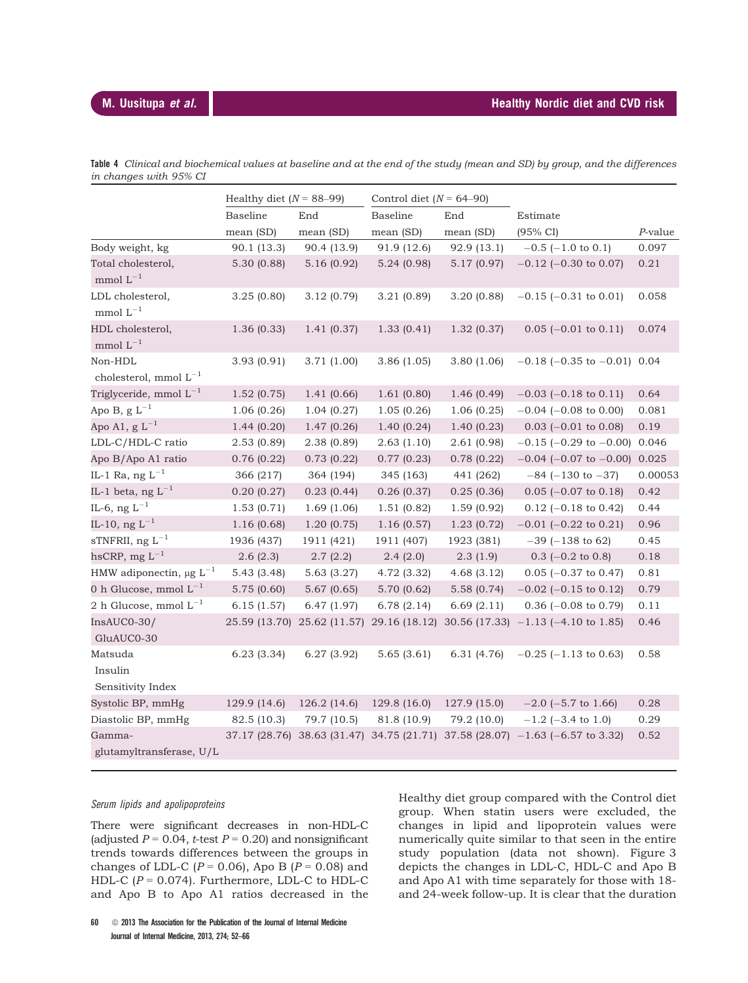| <b>Table 4</b> Clinical and biochemical values at baseline and at the end of the study (mean and SD) by group, and the differences |  |
|------------------------------------------------------------------------------------------------------------------------------------|--|
| in changes with 95% CI                                                                                                             |  |

|                                            | Healthy diet $(N = 88-99)$ |                             | Control diet ( $N = 64-90$ ) |              |                                                                               |         |
|--------------------------------------------|----------------------------|-----------------------------|------------------------------|--------------|-------------------------------------------------------------------------------|---------|
|                                            | Baseline                   | End                         | <b>Baseline</b><br>End       |              | Estimate                                                                      |         |
|                                            | mean (SD)                  | mean (SD)                   | mean (SD)                    | mean (SD)    | (95% CI)                                                                      | P-value |
| Body weight, kg                            | 90.1(13.3)                 | 90.4 (13.9)                 | 91.9 (12.6)                  | 92.9(13.1)   | $-0.5$ ( $-1.0$ to 0.1)                                                       | 0.097   |
| Total cholesterol,<br>mmol $L^{-1}$        | 5.30(0.88)                 | 5.16(0.92)                  | 5.24(0.98)                   | 5.17(0.97)   | $-0.12$ (-0.30 to 0.07)                                                       | 0.21    |
| LDL cholesterol,<br>mmol $L^{-1}$          | 3.25(0.80)                 | 3.12(0.79)                  | 3.21(0.89)                   | 3.20(0.88)   | $-0.15$ ( $-0.31$ to 0.01)                                                    | 0.058   |
| HDL cholesterol,<br>mmol $\mathbf{L}^{-1}$ | 1.36(0.33)                 | 1.41(0.37)                  | 1.33(0.41)                   | 1.32(0.37)   | $0.05$ (-0.01 to 0.11)                                                        | 0.074   |
| Non-HDL<br>cholesterol, mmol $L^{-1}$      | 3.93(0.91)                 | 3.71(1.00)                  | 3.86(1.05)                   | 3.80(1.06)   | $-0.18$ ( $-0.35$ to $-0.01$ ) 0.04                                           |         |
| Triglyceride, mmol $L^{-1}$                | 1.52(0.75)                 | 1.41(0.66)                  | 1.61(0.80)                   | 1.46(0.49)   | $-0.03$ ( $-0.18$ to 0.11)                                                    | 0.64    |
| Apo B, $g L^{-1}$                          | 1.06(0.26)                 | 1.04(0.27)                  | 1.05(0.26)                   | 1.06(0.25)   | $-0.04$ ( $-0.08$ to 0.00)                                                    | 0.081   |
| Apo A1, $g L^{-1}$                         | 1.44(0.20)                 | 1.47(0.26)                  | 1.40(0.24)                   | 1.40(0.23)   | $0.03$ (-0.01 to 0.08)                                                        | 0.19    |
| LDL-C/HDL-C ratio                          | 2.53(0.89)                 | 2.38(0.89)                  | 2.63(1.10)                   | 2.61(0.98)   | $-0.15$ ( $-0.29$ to $-0.00$ ) 0.046                                          |         |
| Apo B/Apo A1 ratio                         | 0.76(0.22)                 | 0.73(0.22)                  | 0.77(0.23)                   | 0.78(0.22)   | $-0.04$ ( $-0.07$ to $-0.00$ ) 0.025                                          |         |
| IL-1 Ra, ng $L^{-1}$                       | 366 (217)                  | 364 (194)                   | 345 (163)                    | 441 (262)    | $-84$ ( $-130$ to $-37$ )                                                     | 0.00053 |
| IL-1 beta, ng $L^{-1}$                     | 0.20(0.27)                 | 0.23(0.44)                  | 0.26(0.37)                   | 0.25(0.36)   | $0.05$ (-0.07 to 0.18)                                                        | 0.42    |
| IL-6, ng $L^{-1}$                          | 1.53(0.71)                 | 1.69(1.06)                  | 1.51(0.82)                   | 1.59(0.92)   | $0.12$ (-0.18 to 0.42)                                                        | 0.44    |
| IL-10, ng $L^{-1}$                         | 1.16(0.68)                 | 1.20(0.75)                  | 1.16(0.57)                   | 1.23(0.72)   | $-0.01$ ( $-0.22$ to 0.21)                                                    | 0.96    |
| sTNFRII, ng $L^{-1}$                       | 1936 (437)                 | 1911 (421)                  | 1911 (407)                   | 1923 (381)   | $-39$ ( $-138$ to 62)                                                         | 0.45    |
| hsCRP, mg $L^{-1}$                         | 2.6(2.3)                   | 2.7(2.2)                    | 2.4(2.0)                     | 2.3(1.9)     | $0.3$ (-0.2 to 0.8)                                                           | 0.18    |
| HMW adiponectin, $\mu$ g L <sup>-1</sup>   | 5.43(3.48)                 | 5.63(3.27)                  | 4.72(3.32)                   | 4.68(3.12)   | $0.05$ (-0.37 to 0.47)                                                        | 0.81    |
| 0 h Glucose, mmol $L^{-1}$                 | 5.75 (0.60)                | 5.67(0.65)                  | 5.70(0.62)                   | 5.58(0.74)   | $-0.02$ ( $-0.15$ to 0.12)                                                    | 0.79    |
| 2 h Glucose, mmol $L^{-1}$                 | 6.15(1.57)                 | 6.47(1.97)                  | 6.78(2.14)                   | 6.69(2.11)   | $0.36$ (-0.08 to 0.79)                                                        | 0.11    |
| $InsAUCO-30/$<br>GluAUC0-30                |                            | 25.59 (13.70) 25.62 (11.57) |                              |              | 29.16 (18.12) 30.56 (17.33) $-1.13$ ( $-4.10$ to 1.85)                        | 0.46    |
| Matsuda<br>Insulin<br>Sensitivity Index    | 6.23(3.34)                 | 6.27(3.92)                  | 5.65(3.61)                   | 6.31(4.76)   | $-0.25$ ( $-1.13$ to 0.63)                                                    | 0.58    |
| Systolic BP, mmHg                          | 129.9 (14.6)               | 126.2(14.6)                 | 129.8 (16.0)                 | 127.9 (15.0) | $-2.0$ ( $-5.7$ to 1.66)                                                      | 0.28    |
| Diastolic BP, mmHg                         | 82.5 (10.3)                | 79.7 (10.5)                 | 81.8 (10.9)                  | 79.2 (10.0)  | $-1.2$ (-3.4 to 1.0)                                                          | 0.29    |
| Gamma-                                     |                            |                             |                              |              | 37.17 (28.76) 38.63 (31.47) 34.75 (21.71) 37.58 (28.07) -1.63 (-6.57 to 3.32) | 0.52    |
| glutamyltransferase, U/L                   |                            |                             |                              |              |                                                                               |         |

### Serum lipids and apolipoproteins

There were significant decreases in non-HDL-C (adjusted  $P = 0.04$ , t-test  $P = 0.20$ ) and nonsignificant trends towards differences between the groups in changes of LDL-C ( $P = 0.06$ ), Apo B ( $P = 0.08$ ) and HDL-C ( $P = 0.074$ ). Furthermore, LDL-C to HDL-C and Apo B to Apo A1 ratios decreased in the Healthy diet group compared with the Control diet group. When statin users were excluded, the changes in lipid and lipoprotein values were numerically quite similar to that seen in the entire study population (data not shown). Figure 3 depicts the changes in LDL-C, HDL-C and Apo B and Apo A1 with time separately for those with 18 and 24-week follow-up. It is clear that the duration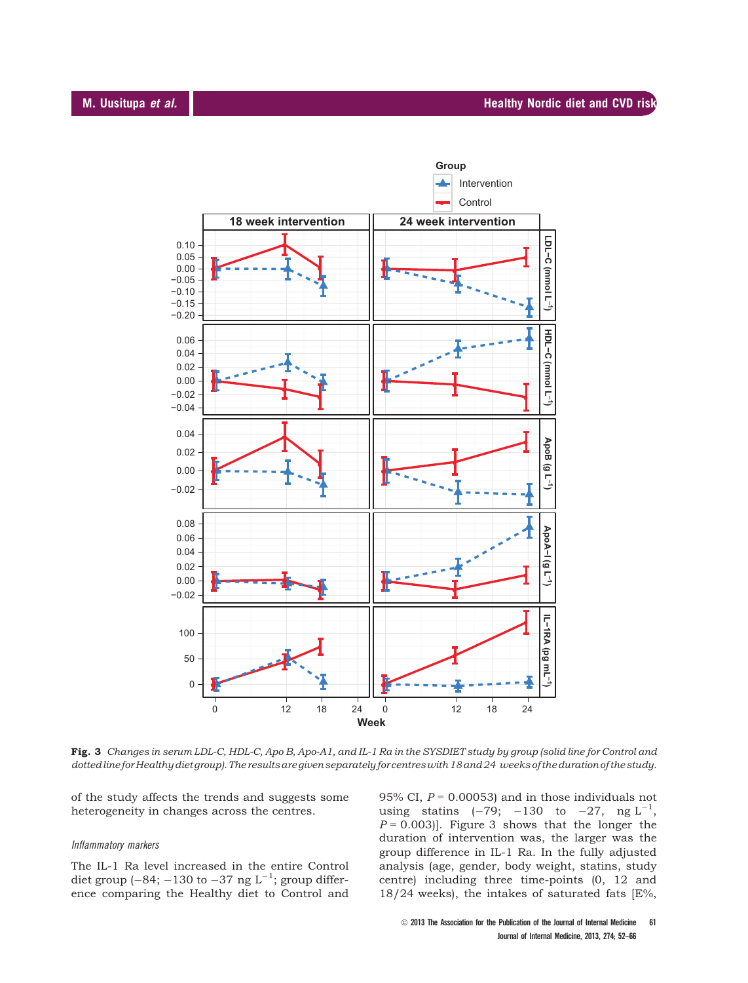

Fig. 3 Changes in serum LDL-C, HDL-C, Apo B, Apo-A1, and IL-1 Ra in the SYSDIET study by group (solid line for Control and dotted line for Healthy diet group). The results are given separately for centres with 18 and 24 weeks of the duration of the study.

of the study affects the trends and suggests some heterogeneity in changes across the centres.

#### Inflammatory markers

The IL-1 Ra level increased in the entire Control diet group (–84; –130 to –37 ng  $L^{-1}$ ; group difference comparing the Healthy diet to Control and

95% CI,  $P = 0.00053$ ) and in those individuals not using statins  $(-79; -130)$  to  $-27$ , ng L<sup>-1</sup>,  $P = 0.003$ ]. Figure 3 shows that the longer the duration of intervention was, the larger was the group difference in IL-1 Ra. In the fully adjusted analysis (age, gender, body weight, statins, study centre) including three time-points (0, 12 and 18/24 weeks), the intakes of saturated fats [E%,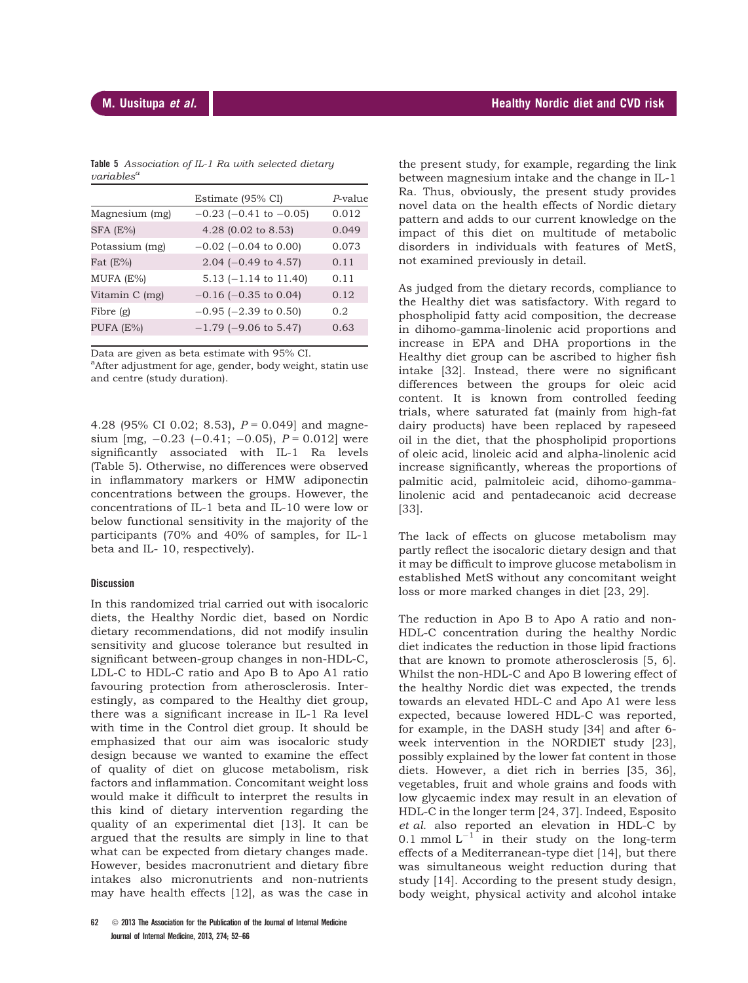|                | Estimate (95% CI)              | P-value |
|----------------|--------------------------------|---------|
| Magnesium (mg) | $-0.23$ ( $-0.41$ to $-0.05$ ) | 0.012   |
| SFA (E%)       | 4.28 (0.02 to 8.53)            | 0.049   |
| Potassium (mg) | $-0.02$ ( $-0.04$ to 0.00)     | 0.073   |
| Fat (E%)       | 2.04 $(-0.49$ to 4.57)         | 0.11    |
| MUFA (E%)      | $5.13$ (-1.14 to 11.40)        | 0.11    |
| Vitamin C (mg) | $-0.16$ ( $-0.35$ to 0.04)     | 0.12    |
| Fibre $(g)$    | $-0.95$ ( $-2.39$ to 0.50)     | 0.2     |
| PUFA (E%)      | $-1.79$ (-9.06 to 5.47)        | 0.63    |
|                |                                |         |

Table 5 Association of IL-1 Ra with selected dietary  $variable$ s<sup>a</sup>

Data are given as beta estimate with 95% CI.

<sup>a</sup>After adjustment for age, gender, body weight, statin use and centre (study duration).

4.28 (95% CI 0.02; 8.53),  $P = 0.049$  and magnesium  $[mg, -0.23 (-0.41; -0.05), P = 0.012]$  were significantly associated with IL-1 Ra levels (Table 5). Otherwise, no differences were observed in inflammatory markers or HMW adiponectin concentrations between the groups. However, the concentrations of IL-1 beta and IL-10 were low or below functional sensitivity in the majority of the participants (70% and 40% of samples, for IL-1 beta and IL- 10, respectively).

#### **Discussion**

In this randomized trial carried out with isocaloric diets, the Healthy Nordic diet, based on Nordic dietary recommendations, did not modify insulin sensitivity and glucose tolerance but resulted in significant between-group changes in non-HDL-C, LDL-C to HDL-C ratio and Apo B to Apo A1 ratio favouring protection from atherosclerosis. Interestingly, as compared to the Healthy diet group, there was a significant increase in IL-1 Ra level with time in the Control diet group. It should be emphasized that our aim was isocaloric study design because we wanted to examine the effect of quality of diet on glucose metabolism, risk factors and inflammation. Concomitant weight loss would make it difficult to interpret the results in this kind of dietary intervention regarding the quality of an experimental diet [13]. It can be argued that the results are simply in line to that what can be expected from dietary changes made. However, besides macronutrient and dietary fibre intakes also micronutrients and non-nutrients may have health effects [12], as was the case in

the present study, for example, regarding the link between magnesium intake and the change in IL-1 Ra. Thus, obviously, the present study provides novel data on the health effects of Nordic dietary pattern and adds to our current knowledge on the impact of this diet on multitude of metabolic disorders in individuals with features of MetS, not examined previously in detail.

As judged from the dietary records, compliance to the Healthy diet was satisfactory. With regard to phospholipid fatty acid composition, the decrease in dihomo-gamma-linolenic acid proportions and increase in EPA and DHA proportions in the Healthy diet group can be ascribed to higher fish intake [32]. Instead, there were no significant differences between the groups for oleic acid content. It is known from controlled feeding trials, where saturated fat (mainly from high-fat dairy products) have been replaced by rapeseed oil in the diet, that the phospholipid proportions of oleic acid, linoleic acid and alpha-linolenic acid increase significantly, whereas the proportions of palmitic acid, palmitoleic acid, dihomo-gammalinolenic acid and pentadecanoic acid decrease [33].

The lack of effects on glucose metabolism may partly reflect the isocaloric dietary design and that it may be difficult to improve glucose metabolism in established MetS without any concomitant weight loss or more marked changes in diet [23, 29].

The reduction in Apo B to Apo A ratio and non-HDL-C concentration during the healthy Nordic diet indicates the reduction in those lipid fractions that are known to promote atherosclerosis [5, 6]. Whilst the non-HDL-C and Apo B lowering effect of the healthy Nordic diet was expected, the trends towards an elevated HDL-C and Apo A1 were less expected, because lowered HDL-C was reported, for example, in the DASH study [34] and after 6 week intervention in the NORDIET study [23], possibly explained by the lower fat content in those diets. However, a diet rich in berries [35, 36], vegetables, fruit and whole grains and foods with low glycaemic index may result in an elevation of HDL-C in the longer term [24, 37]. Indeed, Esposito et al. also reported an elevation in HDL-C by 0.1 mmol  $L^{-1}$  in their study on the long-term effects of a Mediterranean-type diet [14], but there was simultaneous weight reduction during that study [14]. According to the present study design, body weight, physical activity and alcohol intake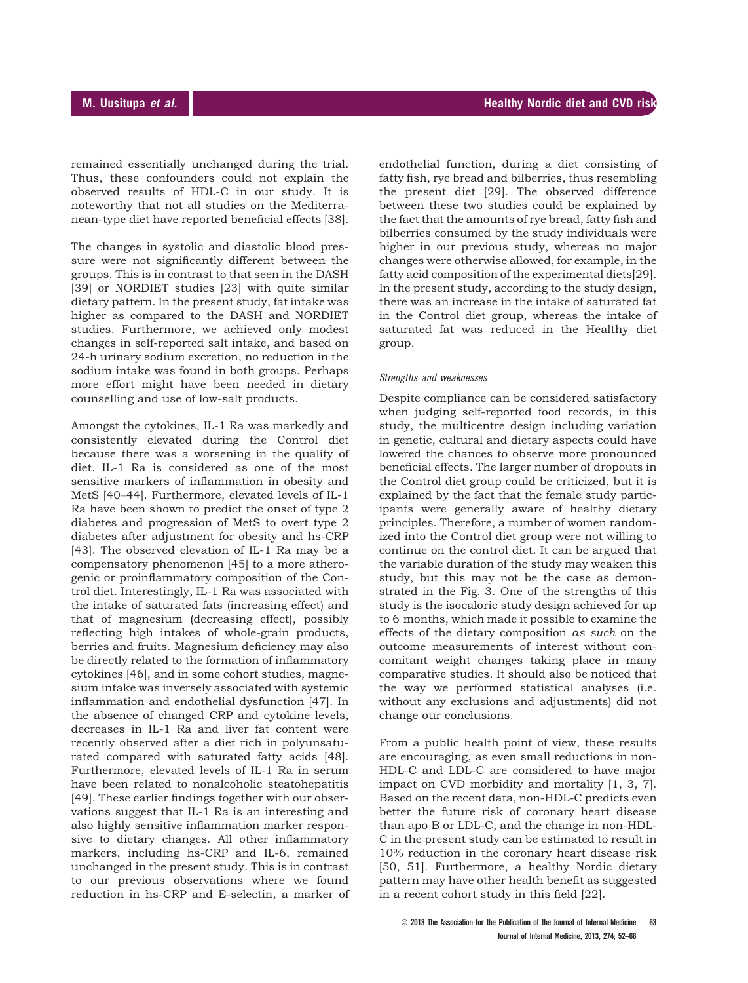remained essentially unchanged during the trial. Thus, these confounders could not explain the observed results of HDL-C in our study. It is noteworthy that not all studies on the Mediterranean-type diet have reported beneficial effects [38].

The changes in systolic and diastolic blood pressure were not significantly different between the groups. This is in contrast to that seen in the DASH [39] or NORDIET studies [23] with quite similar dietary pattern. In the present study, fat intake was higher as compared to the DASH and NORDIET studies. Furthermore, we achieved only modest changes in self-reported salt intake, and based on 24-h urinary sodium excretion, no reduction in the sodium intake was found in both groups. Perhaps more effort might have been needed in dietary counselling and use of low-salt products.

Amongst the cytokines, IL-1 Ra was markedly and consistently elevated during the Control diet because there was a worsening in the quality of diet. IL-1 Ra is considered as one of the most sensitive markers of inflammation in obesity and MetS [40–44]. Furthermore, elevated levels of IL-1 Ra have been shown to predict the onset of type 2 diabetes and progression of MetS to overt type 2 diabetes after adjustment for obesity and hs-CRP [43]. The observed elevation of IL-1 Ra may be a compensatory phenomenon [45] to a more atherogenic or proinflammatory composition of the Control diet. Interestingly, IL-1 Ra was associated with the intake of saturated fats (increasing effect) and that of magnesium (decreasing effect), possibly reflecting high intakes of whole-grain products, berries and fruits. Magnesium deficiency may also be directly related to the formation of inflammatory cytokines [46], and in some cohort studies, magnesium intake was inversely associated with systemic inflammation and endothelial dysfunction [47]. In the absence of changed CRP and cytokine levels, decreases in IL-1 Ra and liver fat content were recently observed after a diet rich in polyunsaturated compared with saturated fatty acids [48]. Furthermore, elevated levels of IL-1 Ra in serum have been related to nonalcoholic steatohepatitis [49]. These earlier findings together with our observations suggest that IL-1 Ra is an interesting and also highly sensitive inflammation marker responsive to dietary changes. All other inflammatory markers, including hs-CRP and IL-6, remained unchanged in the present study. This is in contrast to our previous observations where we found reduction in hs-CRP and E-selectin, a marker of endothelial function, during a diet consisting of fatty fish, rye bread and bilberries, thus resembling the present diet [29]. The observed difference between these two studies could be explained by the fact that the amounts of rye bread, fatty fish and bilberries consumed by the study individuals were higher in our previous study, whereas no major changes were otherwise allowed, for example, in the fatty acid composition of the experimental diets[29]. In the present study, according to the study design, there was an increase in the intake of saturated fat in the Control diet group, whereas the intake of saturated fat was reduced in the Healthy diet group.

#### Strengths and weaknesses

Despite compliance can be considered satisfactory when judging self-reported food records, in this study, the multicentre design including variation in genetic, cultural and dietary aspects could have lowered the chances to observe more pronounced beneficial effects. The larger number of dropouts in the Control diet group could be criticized, but it is explained by the fact that the female study participants were generally aware of healthy dietary principles. Therefore, a number of women randomized into the Control diet group were not willing to continue on the control diet. It can be argued that the variable duration of the study may weaken this study, but this may not be the case as demonstrated in the Fig. 3. One of the strengths of this study is the isocaloric study design achieved for up to 6 months, which made it possible to examine the effects of the dietary composition as such on the outcome measurements of interest without concomitant weight changes taking place in many comparative studies. It should also be noticed that the way we performed statistical analyses (i.e. without any exclusions and adjustments) did not change our conclusions.

From a public health point of view, these results are encouraging, as even small reductions in non-HDL-C and LDL-C are considered to have major impact on CVD morbidity and mortality [1, 3, 7]. Based on the recent data, non-HDL-C predicts even better the future risk of coronary heart disease than apo B or LDL-C, and the change in non-HDL-C in the present study can be estimated to result in 10% reduction in the coronary heart disease risk [50, 51]. Furthermore, a healthy Nordic dietary pattern may have other health benefit as suggested in a recent cohort study in this field [22].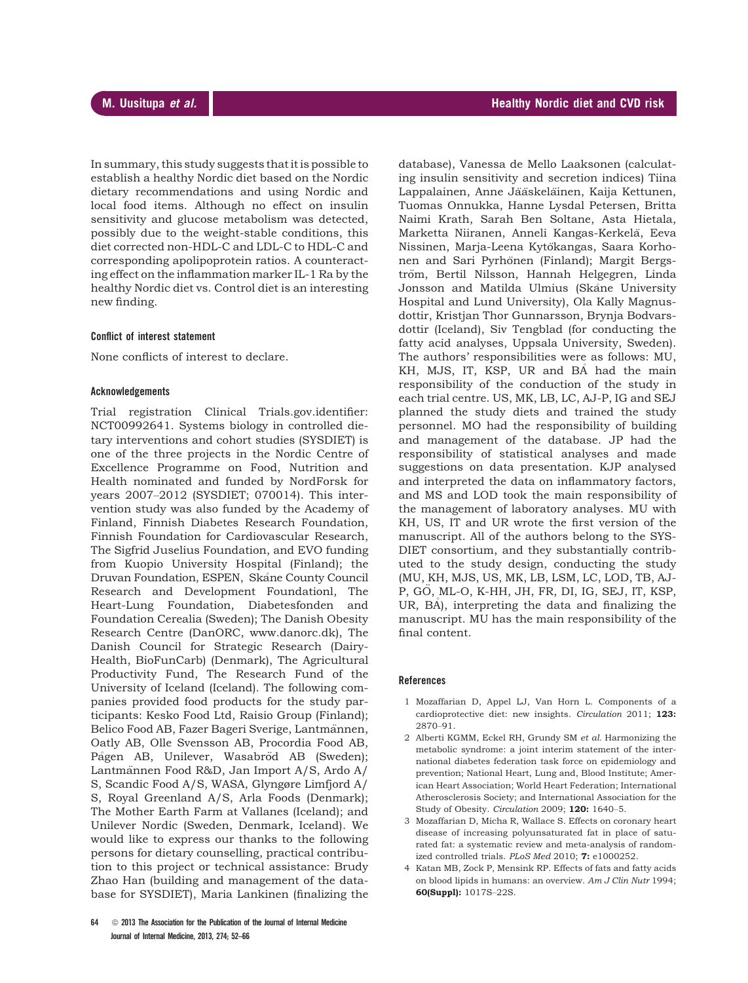In summary, this study suggests that it is possible to establish a healthy Nordic diet based on the Nordic dietary recommendations and using Nordic and local food items. Although no effect on insulin sensitivity and glucose metabolism was detected, possibly due to the weight-stable conditions, this diet corrected non-HDL-C and LDL-C to HDL-C and corresponding apolipoprotein ratios. A counteracting effect on the inflammation marker IL-1 Ra by the healthy Nordic diet vs. Control diet is an interesting new finding.

#### Conflict of interest statement

None conflicts of interest to declare.

#### Acknowledgements

Trial registration Clinical Trials.gov.identifier: NCT00992641. Systems biology in controlled dietary interventions and cohort studies (SYSDIET) is one of the three projects in the Nordic Centre of Excellence Programme on Food, Nutrition and Health nominated and funded by NordForsk for years 2007–2012 (SYSDIET; 070014). This intervention study was also funded by the Academy of Finland, Finnish Diabetes Research Foundation, Finnish Foundation for Cardiovascular Research, The Sigfrid Juselius Foundation, and EVO funding from Kuopio University Hospital (Finland); the Druvan Foundation, ESPEN, Skane County Council Research and Development Foundationl, The Heart-Lung Foundation, Diabetesfonden and Foundation Cerealia (Sweden); The Danish Obesity Research Centre (DanORC, www.danorc.dk), The Danish Council for Strategic Research (Dairy-Health, BioFunCarb) (Denmark), The Agricultural Productivity Fund, The Research Fund of the University of Iceland (Iceland). The following companies provided food products for the study participants: Kesko Food Ltd, Raisio Group (Finland); Belico Food AB, Fazer Bageri Sverige, Lantmännen, Oatly AB, Olle Svensson AB, Procordia Food AB, Pagen AB, Unilever, Wasabröd AB (Sweden); Lantmännen Food R&D, Jan Import A/S, Ardo A/ S, Scandic Food A/S, WASA, Glyngøre Limfjord A/ S, Royal Greenland A/S, Arla Foods (Denmark); The Mother Earth Farm at Vallanes (Iceland); and Unilever Nordic (Sweden, Denmark, Iceland). We would like to express our thanks to the following persons for dietary counselling, practical contribution to this project or technical assistance: Brudy Zhao Han (building and management of the database for SYSDIET), Maria Lankinen (finalizing the

database), Vanessa de Mello Laaksonen (calculating insulin sensitivity and secretion indices) Tiina Lappalainen, Anne Jääskeläinen, Kaija Kettunen, Tuomas Onnukka, Hanne Lysdal Petersen, Britta Naimi Krath, Sarah Ben Soltane, Asta Hietala, Marketta Niiranen, Anneli Kangas-Kerkelä, Eeva Nissinen, Marja-Leena Kytökangas, Saara Korhonen and Sari Pyrhönen (Finland); Margit Bergström, Bertil Nilsson, Hannah Helgegren, Linda Jonsson and Matilda Ulmius (Skane University Hospital and Lund University), Ola Kally Magnusdottir, Kristjan Thor Gunnarsson, Brynja Bodvarsdottir (Iceland), Siv Tengblad (for conducting the fatty acid analyses, Uppsala University, Sweden). The authors' responsibilities were as follows: MU, KH, MJS, IT, KSP, UR and BA had the main responsibility of the conduction of the study in each trial centre. US, MK, LB, LC, AJ-P, IG and SEJ planned the study diets and trained the study personnel. MO had the responsibility of building and management of the database. JP had the responsibility of statistical analyses and made suggestions on data presentation. KJP analysed and interpreted the data on inflammatory factors, and MS and LOD took the main responsibility of the management of laboratory analyses. MU with KH, US, IT and UR wrote the first version of the manuscript. All of the authors belong to the SYS-DIET consortium, and they substantially contributed to the study design, conducting the study (MU, KH, MJS, US, MK, LB, LSM, LC, LOD, TB, AJ-P, GÖ, ML-O, K-HH, JH, FR, DI, IG, SEJ, IT, KSP, UR, BA), interpreting the data and finalizing the manuscript. MU has the main responsibility of the final content.

#### References

- 1 Mozaffarian D, Appel LJ, Van Horn L. Components of a cardioprotective diet: new insights. Circulation 2011; 123: 2870–91.
- 2 Alberti KGMM, Eckel RH, Grundy SM et al. Harmonizing the metabolic syndrome: a joint interim statement of the international diabetes federation task force on epidemiology and prevention; National Heart, Lung and, Blood Institute; American Heart Association; World Heart Federation; International Atherosclerosis Society; and International Association for the Study of Obesity. Circulation 2009; 120: 1640-5.
- 3 Mozaffarian D, Micha R, Wallace S. Effects on coronary heart disease of increasing polyunsaturated fat in place of saturated fat: a systematic review and meta-analysis of randomized controlled trials. PLoS Med 2010; 7: e1000252.
- 4 Katan MB, Zock P, Mensink RP. Effects of fats and fatty acids on blood lipids in humans: an overview. Am J Clin Nutr 1994; 60(Suppl): 1017S–22S.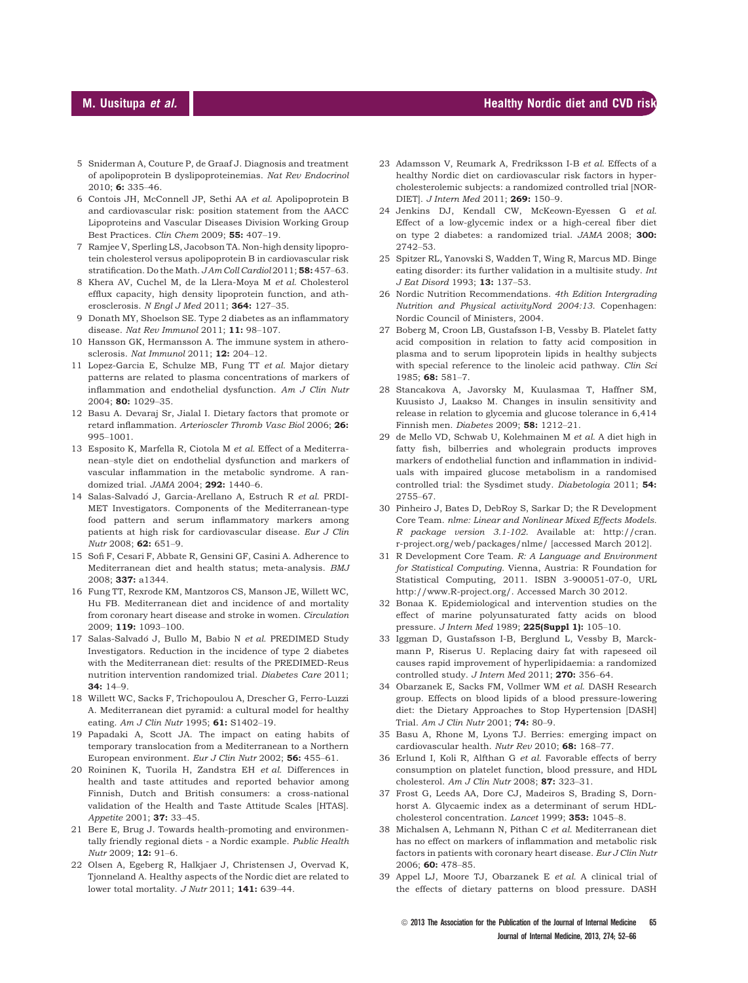# M. Uusitupa et al. Healthy Nordic diet and CVD risk

- 5 Sniderman A, Couture P, de Graaf J. Diagnosis and treatment of apolipoprotein B dyslipoproteinemias. Nat Rev Endocrinol 2010; 6: <sup>335</sup>–46.
- 6 Contois JH, McConnell JP, Sethi AA et al. Apolipoprotein B and cardiovascular risk: position statement from the AACC Lipoproteins and Vascular Diseases Division Working Group Best Practices. Clin Chem 2009; 55: <sup>407</sup>–19.
- 7 Ramjee V, Sperling LS, Jacobson TA. Non-high density lipoprotein cholesterol versus apolipoprotein B in cardiovascular risk stratification. Do the Math. JAm Coll Cardiol 2011; 58: 457-63.
- 8 Khera AV, Cuchel M, de la Llera-Moya M et al. Cholesterol efflux capacity, high density lipoprotein function, and atherosclerosis. N Engl J Med  $2011$ ;  $364$ : 127-35.
- 9 Donath MY, Shoelson SE. Type 2 diabetes as an inflammatory disease. Nat Rev Immunol 2011; 11: <sup>98</sup>–107.
- 10 Hansson GK, Hermansson A. The immune system in atherosclerosis. Nat Immunol 2011; 12: <sup>204</sup>–12.
- 11 Lopez-Garcia E, Schulze MB, Fung TT et al. Major dietary patterns are related to plasma concentrations of markers of inflammation and endothelial dysfunction. Am J Clin Nutr 2004; 80: <sup>1029</sup>–35.
- 12 Basu A. Devaraj Sr, Jialal I. Dietary factors that promote or retard inflammation. Arterioscler Thromb Vasc Biol 2006; 26: 995–1001.
- 13 Esposito K, Marfella R, Ciotola M et al. Effect of a Mediterranean–style diet on endothelial dysfunction and markers of vascular inflammation in the metabolic syndrome. A randomized trial. JAMA 2004; 292: <sup>1440</sup>–6.
- 14 Salas-Salvadó J, Garcia-Arellano A, Estruch R et al. PRDI-MET Investigators. Components of the Mediterranean-type food pattern and serum inflammatory markers among patients at high risk for cardiovascular disease. Eur J Clin Nutr 2008; 62: <sup>651</sup>–9.
- 15 Sofi F, Cesari F, Abbate R, Gensini GF, Casini A. Adherence to Mediterranean diet and health status; meta-analysis. BMJ 2008; 337: a1344.
- 16 Fung TT, Rexrode KM, Mantzoros CS, Manson JE, Willett WC, Hu FB. Mediterranean diet and incidence of and mortality from coronary heart disease and stroke in women. Circulation 2009; 119: <sup>1093</sup>–100.
- 17 Salas-Salvadó J, Bullo M, Babio N et al. PREDIMED Study Investigators. Reduction in the incidence of type 2 diabetes with the Mediterranean diet: results of the PREDIMED-Reus nutrition intervention randomized trial. Diabetes Care 2011; 34: <sup>14</sup>–9.
- 18 Willett WC, Sacks F, Trichopoulou A, Drescher G, Ferro-Luzzi A. Mediterranean diet pyramid: a cultural model for healthy eating. Am J Clin Nutr 1995; 61: S1402-19.
- 19 Papadaki A, Scott JA. The impact on eating habits of temporary translocation from a Mediterranean to a Northern European environment. Eur J Clin Nutr 2002; 56: <sup>455</sup>–61.
- 20 Roininen K, Tuorila H, Zandstra EH et al. Differences in health and taste attitudes and reported behavior among Finnish, Dutch and British consumers: a cross-national validation of the Health and Taste Attitude Scales [HTAS]. Appetite 2001; 37: 33-45.
- 21 Bere E, Brug J. Towards health-promoting and environmentally friendly regional diets - a Nordic example. Public Health Nutr 2009; 12: <sup>91</sup>–6.
- 22 Olsen A, Egeberg R, Halkjaer J, Christensen J, Overvad K, Tjonneland A. Healthy aspects of the Nordic diet are related to lower total mortality. J Nutr 2011; 141: 639-44.
- 
- 23 Adamsson V, Reumark A, Fredriksson I-B et al. Effects of a healthy Nordic diet on cardiovascular risk factors in hypercholesterolemic subjects: a randomized controlled trial [NOR-DIET]. J Intern Med 2011; 269: <sup>150</sup>–9.
- 24 Jenkins DJ, Kendall CW, McKeown-Eyessen G et al. Effect of a low-glycemic index or a high-cereal fiber diet on type 2 diabetes: a randomized trial. JAMA 2008; 300: 2742–53.
- 25 Spitzer RL, Yanovski S, Wadden T, Wing R, Marcus MD. Binge eating disorder: its further validation in a multisite study. Int J Eat Disord 1993; 13: <sup>137</sup>–53.
- 26 Nordic Nutrition Recommendations. 4th Edition Intergrading Nutrition and Physical activityNord 2004:13. Copenhagen: Nordic Council of Ministers, 2004.
- 27 Boberg M, Croon LB, Gustafsson I-B, Vessby B. Platelet fatty acid composition in relation to fatty acid composition in plasma and to serum lipoprotein lipids in healthy subjects with special reference to the linoleic acid pathway. Clin Sci 1985; 68: <sup>581</sup>–7.
- 28 Stancakova A, Javorsky M, Kuulasmaa T, Haffner SM, Kuusisto J, Laakso M. Changes in insulin sensitivity and release in relation to glycemia and glucose tolerance in 6,414 Finnish men. Diabetes 2009; 58: <sup>1212</sup>–21.
- 29 de Mello VD, Schwab U, Kolehmainen M et al. A diet high in fatty fish, bilberries and wholegrain products improves markers of endothelial function and inflammation in individuals with impaired glucose metabolism in a randomised controlled trial: the Sysdimet study. Diabetologia 2011; 54: 2755–67.
- 30 Pinheiro J, Bates D, DebRoy S, Sarkar D; the R Development Core Team. nlme: Linear and Nonlinear Mixed Effects Models. R package version 3.1-102. Available at: http://cran. r-project.org/web/packages/nlme/ [accessed March 2012].
- 31 R Development Core Team. R: A Language and Environment for Statistical Computing. Vienna, Austria: R Foundation for Statistical Computing, 2011. ISBN 3-900051-07-0, URL http://www.R-project.org/. Accessed March 30 2012.
- 32 Bonaa K. Epidemiological and intervention studies on the effect of marine polyunsaturated fatty acids on blood pressure. J Intern Med 1989; 225(Suppl 1): 105-10.
- 33 Iggman D, Gustafsson I-B, Berglund L, Vessby B, Marckmann P, Riserus U. Replacing dairy fat with rapeseed oil causes rapid improvement of hyperlipidaemia: a randomized controlled study. J Intern Med 2011; 270: 356-64.
- 34 Obarzanek E, Sacks FM, Vollmer WM et al. DASH Research group. Effects on blood lipids of a blood pressure-lowering diet: the Dietary Approaches to Stop Hypertension [DASH] Trial. Am J Clin Nutr 2001; 74: 80-9.
- 35 Basu A, Rhone M, Lyons TJ. Berries: emerging impact on cardiovascular health. Nutr Rev 2010; 68: 168-77.
- 36 Erlund I, Koli R, Alfthan G et al. Favorable effects of berry consumption on platelet function, blood pressure, and HDL cholesterol. Am J Clin Nutr 2008; 87: <sup>323</sup>–31.
- 37 Frost G, Leeds AA, Dore CJ, Madeiros S, Brading S, Dornhorst A. Glycaemic index as a determinant of serum HDLcholesterol concentration. Lancet 1999; 353: 1045-8.
- 38 Michalsen A, Lehmann N, Pithan C et al. Mediterranean diet has no effect on markers of inflammation and metabolic risk factors in patients with coronary heart disease. Eur J Clin Nutr 2006; 60: <sup>478</sup>–85.
- 39 Appel LJ, Moore TJ, Obarzanek E et al. A clinical trial of the effects of dietary patterns on blood pressure. DASH